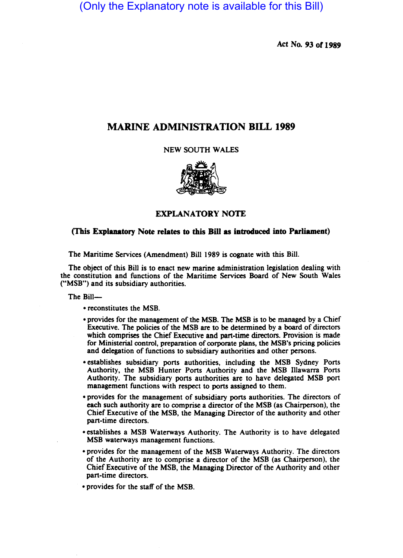(Only the Explanatory note is available for this Bill)

Act No. 93 or 1989

# MARINE ADMINISTRATION BILL 1989

NEW SOUTH WALES



EXPLANATORY NOTE

# (This Explanatory Note relates to this Bill as introduced into Parliament)

The Maritime Services (Amendment) Bill 1989 is cognate with this Bill.

The object of this Bill is to enact new marine administration legislation dealing with the constitution and functions of the Maritime Services Board of New South Wales ("MSB") and its subsidiary authorities.

The Bill-

- reconstitutes the MSB.
- provides for the management of the MSB. The MSB is to be managed by a Chief Executive. The policies of the MSB are to be determined by a board of directors which comprises the Chief Executive and part-time directors. Provision is made for Ministerial control, preparation of corporate plans, the MSB's pricing policies and delegation of functions to subsidiary authorities and other persons.
- establishes subsidiary ports authorities, including the MSB Sydney Ports Authority, the MSB Hunter Ports Authority and the MSB Illawarra Ports Authority. The subsidiary ports authorities are to have delegated MSB port management functions with respect to ports assigned to them.
- provides for the management of subsidiary ports authorities. The directors of each such authority are to comprise a director of the MSB (as Chairperson), the Chief Executive of the MSB, the Managing Director of the authority and other part-time directors.
- establishes a MSB Waterways Authority. The Authority is to have delegated MSB waterways management functions.
- provides for the management of the MSB Waterways Authority. The directors of the Authority are to comprise a director of the MSB (as Chairperson), the Chief Executive of the MSB, the Managing Director of the Authority and other part-time directors.

• provides for the staff of the MSB.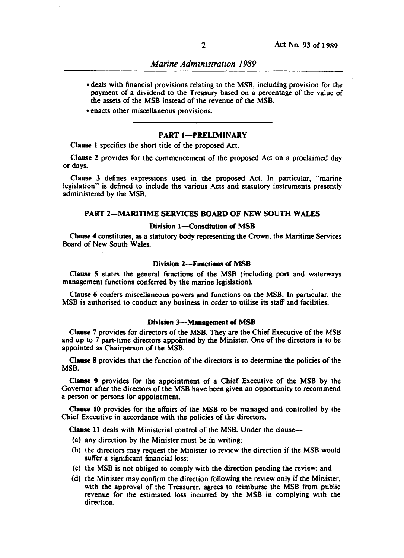- deals with financial provisions relating to the MSB. including provision for the payment of a dividend to the Treasury based on a percentage of the value of the assets of the MSB instead of the revenue of the MSB.
- enacts other miscellaneous provisions.

# PART 1-PRELIMINARY

Clause 1 specifies the short title of the proposed Act.

Clause 2 provides for the commencement of the proposed Act on a proclaimed day or days. 1

Clause 3 defines expressions used in the proposed Act. In particular. "marine legislation" is defined to include the various Acts and statutory instruments presently administered by the MSB.

# PART 2-MARITIME SERVICES BOARD OF NEW SOUTH WALES

## Division 1-Constitution of MSB

Clause 4 constitutes, as a statutory body representing the Crown, the Maritime Services Board of New South Wales.

# Division 2-Functions of MSB

Clause 5 states the general functions of the MSB (including port and waterways management functions conferred by the marine legislation).

Clause 6 confers miscellaneous powers and functions on the MSB. In particular, the MSB is authorised to conduct any business in order to utilise its staff and facilities.

#### Division 3--Management of MSB

Clause 7 provides for directors of the MSB. They are the Chief Executive of the MSB and up to 7 part-time directors appointed by the Minister. One of the directors is to be appointed as Chairperson of the MSB.

Clause 8 provides that the function of the directors is to determine the policies of the MSB.

Clause 9 provides for the appointment of a Chief Executive of the MSB by the Governor after the directors of the MSB have been given an opportunity to recommend a person or persons for appointment.

Clause 10 provides for tbe affairs of the MSB to be managed and controlled by the Chief Executive in accordance with the policies of the directors.

Clause 11 deals with Ministerial control of the MSB. Under the clause-

- (a) any direction by the Minister must be in writing;
- (b) the directors may request the Minister to review the direction if the MSB would suffer a significant financial loss:
- (c) the MSB is not obliged to comply with the direction pending the review; and
- (d) the Minister may confirm the direction following the review only if the Minister. with the approval of the Treasurer. agrees to reimburse the MSB from public revenue for the estimated loss incurred by the MSB in complying with the direction.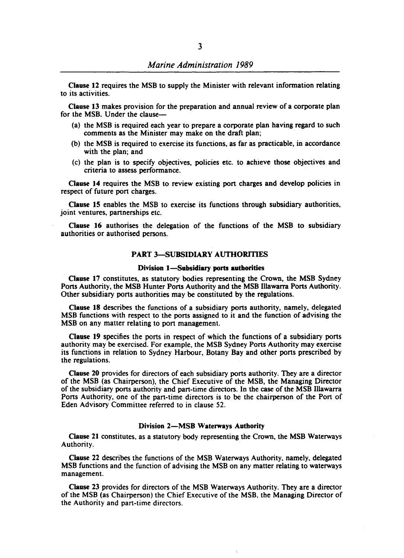Clause 12 requires the MSB to supply the Minister with relevant information relating to its activities.

Clause 13 makes provision for the preparation and annual review of a corporate plan for the MSB. Under the clause-

- (a) the MSB is required each year to prepare a corporate plan having regard to such comments as the Minister may make on the draft plan;
- (b) the MSB is required to exercise its functions, as far as practicable, in accordance with the plan; and
- (c) the plan is to specify objectives, policies etc. to achieve those objectives and criteria to assess performance.

Clause 14 requires the MSB to review existing port charges and develop policies in respect of future port charges.

Clause IS enables the MSB to exercise its functions through subsidiary authorities, joint ventures, partnerships etc.

Clause 16 authorises the delegation of the functions of the MSB to subsidiary authorities or authorised persons.

# PART 3-SUBSIDIARY AUTHORITIES

#### Division 1-Subsidiary ports authorities

Clause 17 constitutes, as statutory bodies representing the Crown, the MSB Sydney Ports Authority, the MSB Hunter Ports Authority and the MSB Illawarra Ports Authority. Other subsidiary ports authorities may be constituted by the regulations.

Clause 18 describes the functions of a subsidiary ports authority, namely, delegated MSB functions with respect to the ports assigned to it and the function of advising the MSB on any matter relating to port management.

Clause 19 specifies the ports in respect of which the functions of a subsidiary ports authority may be exercised. For example, the MSB Sydney Ports Authority may exercise its functions in relation to Sydney Harbour, Botany Bay and other ports prescribed by the regulations.

Clause 20 provides for directors of each subsidiary ports authority. They are a director of the MSB (as Chairperson), the Chief Executive of the MSB, the Managing Director of the subsidiary ports authority and part-time directors. In the case of the MSB IlIawarra Ports Authority, one of the part-time directors is to be the chairperson of the Port of Eden Advisory Committee referred to in clause 52.

#### Division 2-MSB Waterways Authority

Clause 21 constitutes, as a statutory body representing the Crown, the MSB Waterways Authority.

Clause 22 describes the functions of the MSB Waterways Authority. namely. delegated MSB functions and the function of advising the MSB on any matter relating to waterways management.

Clause 23 provides for directors of the MSB Waterways Authority. They are a director of the MSB (as Chairperson) the Chief Executive of the MSB. the Managing Director of the Authority and part-time directors.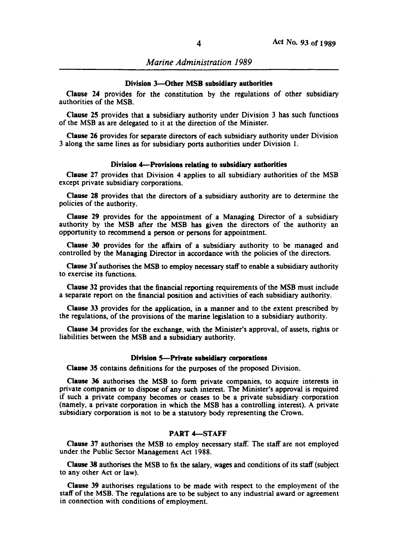#### Division 3-Other MSB subsidiary authorities

Clause 24 provides for the constitution by the regulations of other subsidiary authorities of the MSB.

Clause 25 provides that a subsidiary authority under Division 3 has such functions of the MSB as are delegated to it at the direction of the Minister.

Clause 26 provides for separate directors of each subsidiary authority under Division 3 along the same lines as for subsidiary ports authorities under Division I.

### Division 4-Provisions relating to subsidiary authorities

Clause 27 provides that Division 4 aplies to all subsidiary authorities of the MSB except private subsidiary corporations.

Clause 28 provides that the directors of a subsidiary authority are to determine the policies of the authority.

Clause 29 provides for the appointment of a Managing Director of a subsidiary authority by the MSB after the MSB has given the directors of the authority an opportunity to recommend a person or persons for appointment.

Clause 30 provides for the affairs of a subsidiary authority to be managed and controlled by the Managing Director in accordance with the policies of the directors.

Clause 31" authorises the MSB to employ ecessary staff to enable a subsidiary authority to exercise its functions.

Clause 32 provides that the financial reporting requirements of the MSB must include a separate report on the financial position and activities of each subsidiary authority.

Clause 33 provides for the application, in a manner and to the extent prescribed by the regulations, of the provisions of the marine legislation to a subsidiary authority.

Clause 34 provides for the exchange, with the Minister's approval, of assets, rights or liabilities between the MSB and a subsidiary authority.

#### Division 5-Private subsidiary corporations

Clause 35 contains definitions for the purposes of the proposed Division.

Clause 36 authorises the MSB to form private companies, to acquire interests in private companies or to dispose of any such interest. The Minister's approval is required if such a private company becomes or ceases to be a private subsidiary corporation (namely, a private corporation in which the MSB has a controlling interest). A private subsidiary corporation is not to be a statutory body representing the Crown.

### PART 4-STAFF

Clause 37 authorises the MSB to employ necessary staff. The staff are not employed under the Public Sector Management Act 1988.

Clause 38 authorises the MSB to fix the salary, wages and conditions of its staff (subject to any other Act or law).

Clause 39 authorises regulations to be made with respect to the employment of the staff of the MSB. The regulations are to be subject to any industrial award or agreement in connection with conditions of employment.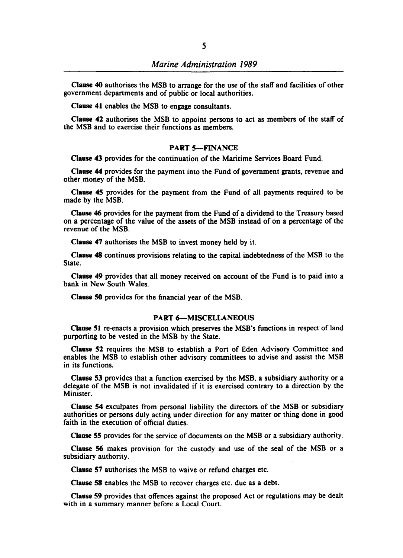Clause 40 authorises the MSB to arrange for the use of the staff and facilities of other government departments and of public or local authorities.

Clause 41 enables the MSB to engage consultants.

Clause 42 authorises the MSB to appoint persons to act as members of the staff of the MSB and to exercise their functions as members.

### PART 5-FINANCE

Clause 43 provides for the continuation of the Maritime Services Board Fund.

Clause 44 provides for the payment into the Fund of government grants, revenue and other money of the MSB.

Clause 45 provides for the payment from the Fund of all payments required to be made by the MSB.

Clause 46 provides for the payment from the Fund of a dividend to the Treasury based on a percentage of the value of the assets of the MSB instead of on a percentage of the revenue of the MSB.

Clause 47 authorises the MSB to invest money held by it.

Clause 48 continues provisions relating to the capital indebtedness of the MSB to the State.

Clause 49 provides that all money received on account of the Fund is to paid into a bank in New South Wales.

Clause 50 provides for the financial year of the MSB.

### **PART 6-MISCELLANEOUS**

Clause 51 re-enacts a provision which preserves the MSB's functions in respect of land purporting to be vested in the MSB by the State.

Clause 52 requires the MSB to establish a Port of Eden Advisory Committee and enables the MSB to establish other advisory committees to advise and assist the MSB in its functions.

Clause 53 provides that a function exercised by the MSB, a subsidiary authority or a delegate of the MSB is not invalidated if it is exercised contrary to a direction by the Minister.

Clause 54 exculpates from personal liability the directors of the MSB or subsidiary authorities or persons duly acting under direction for any matter or thing done in good faith in the execution of official duties.

Clause 55 provides for the service of documents on the MSB or a subsidiary authority.

Clause 56 makes provision for the custody and use of the seal of the MSB or a subsidiary authority.

Clause 57 authorises the MSB to waive or refund charges etc.

Clause 58 enables the MSB to recover charges etc. due as a debt.

Clause S9 provides that offences against the proposed Act or regulations may be dealt with in a summary manner before a Local Court.